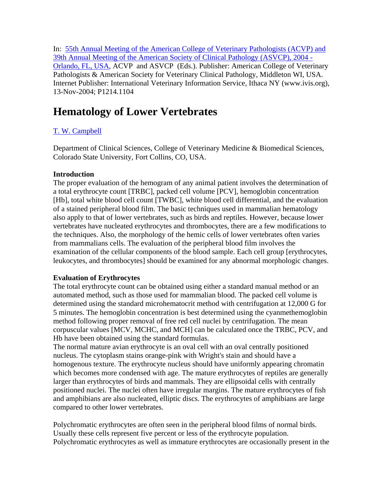In: 55th Annual Meeting of the American College of Veterinary Pathologists (ACVP) and 39th Annual Meeting of the American Society of Clinical Pathology (ASVCP), 2004 - Orlando, FL, USA, ACVP and ASVCP (Eds.). Publisher: American College of Veterinary Pathologists & American Society for Veterinary Clinical Pathology, Middleton WI, USA. Internet Publisher: International Veterinary Information Service, Ithaca NY (www.ivis.org), 13-Nov-2004; P1214.1104

# **Hematology of Lower Vertebrates**

## T. W. Campbell

Department of Clinical Sciences, College of Veterinary Medicine & Biomedical Sciences, Colorado State University, Fort Collins, CO, USA.

### **Introduction**

The proper evaluation of the hemogram of any animal patient involves the determination of a total erythrocyte count [TRBC], packed cell volume [PCV], hemoglobin concentration [Hb], total white blood cell count [TWBC], white blood cell differential, and the evaluation of a stained peripheral blood film. The basic techniques used in mammalian hematology also apply to that of lower vertebrates, such as birds and reptiles. However, because lower vertebrates have nucleated erythrocytes and thrombocytes, there are a few modifications to the techniques. Also, the morphology of the hemic cells of lower vertebrates often varies from mammalians cells. The evaluation of the peripheral blood film involves the examination of the cellular components of the blood sample. Each cell group [erythrocytes, leukocytes, and thrombocytes] should be examined for any abnormal morphologic changes.

#### **Evaluation of Erythrocytes**

The total erythrocyte count can be obtained using either a standard manual method or an automated method, such as those used for mammalian blood. The packed cell volume is determined using the standard microhematocrit method with centrifugation at 12,000 G for 5 minutes. The hemoglobin concentration is best determined using the cyanmethemoglobin method following proper removal of free red cell nuclei by centrifugation. The mean corpuscular values [MCV, MCHC, and MCH] can be calculated once the TRBC, PCV, and Hb have been obtained using the standard formulas.

The normal mature avian erythrocyte is an oval cell with an oval centrally positioned nucleus. The cytoplasm stains orange-pink with Wright's stain and should have a homogenous texture. The erythrocyte nucleus should have uniformly appearing chromatin which becomes more condensed with age. The mature erythrocytes of reptiles are generally larger than erythrocytes of birds and mammals. They are ellipsoidal cells with centrally positioned nuclei. The nuclei often have irregular margins. The mature erythrocytes of fish and amphibians are also nucleated, elliptic discs. The erythrocytes of amphibians are large compared to other lower vertebrates.

Polychromatic erythrocytes are often seen in the peripheral blood films of normal birds. Usually these cells represent five percent or less of the erythrocyte population. Polychromatic erythrocytes as well as immature erythrocytes are occasionally present in the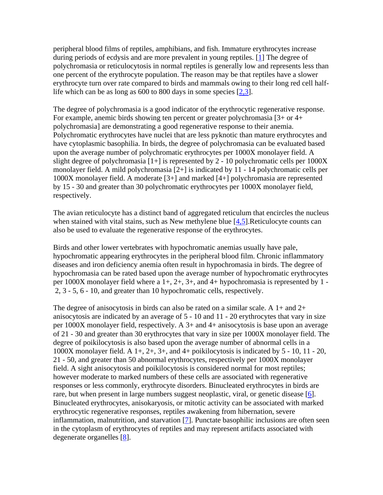peripheral blood films of reptiles, amphibians, and fish. Immature erythrocytes increase during periods of ecdysis and are more prevalent in young reptiles. [1] The degree of polychromasia or reticulocytosis in normal reptiles is generally low and represents less than one percent of the erythrocyte population. The reason may be that reptiles have a slower erythrocyte turn over rate compared to birds and mammals owing to their long red cell halflife which can be as long as 600 to 800 days in some species [2,3].

The degree of polychromasia is a good indicator of the erythrocytic regenerative response. For example, anemic birds showing ten percent or greater polychromasia [3+ or 4+ polychromasia] are demonstrating a good regenerative response to their anemia. Polychromatic erythrocytes have nuclei that are less pyknotic than mature erythrocytes and have cytoplasmic basophilia. In birds, the degree of polychromasia can be evaluated based upon the average number of polychromatic erythrocytes per 1000X monolayer field. A slight degree of polychromasia [1+] is represented by 2 - 10 polychromatic cells per 1000X monolayer field. A mild polychromasia [2+] is indicated by 11 - 14 polychromatic cells per 1000X monolayer field. A moderate [3+] and marked [4+] polychromasia are represented by 15 - 30 and greater than 30 polychromatic erythrocytes per 1000X monolayer field, respectively.

The avian reticulocyte has a distinct band of aggregated reticulum that encircles the nucleus when stained with vital stains, such as New methylene blue [4,5]. Reticulocyte counts can also be used to evaluate the regenerative response of the erythrocytes.

Birds and other lower vertebrates with hypochromatic anemias usually have pale, hypochromatic appearing erythrocytes in the peripheral blood film. Chronic inflammatory diseases and iron deficiency anemia often result in hypochromasia in birds. The degree of hypochromasia can be rated based upon the average number of hypochromatic erythrocytes per  $1000X$  monolayer field where a  $1+, 2+, 3+,$  and  $4+$  hypochromasia is represented by  $1-$ 2, 3 - 5, 6 - 10, and greater than 10 hypochromatic cells, respectively.

The degree of anisocytosis in birds can also be rated on a similar scale. A 1+ and 2+ anisocytosis are indicated by an average of 5 - 10 and 11 - 20 erythrocytes that vary in size per 1000X monolayer field, respectively. A 3+ and 4+ anisocytosis is base upon an average of 21 - 30 and greater than 30 erythrocytes that vary in size per 1000X monolayer field. The degree of poikilocytosis is also based upon the average number of abnormal cells in a 1000X monolayer field. A  $1+$ ,  $2+$ ,  $3+$ , and  $4+$  poikilocytosis is indicated by  $5 - 10$ ,  $11 - 20$ , 21 - 50, and greater than 50 abnormal erythrocytes, respectively per 1000X monolayer field. A sight anisocytosis and poikilocytosis is considered normal for most reptiles; however moderate to marked numbers of these cells are associated with regenerative responses or less commonly, erythrocyte disorders. Binucleated erythrocytes in birds are rare, but when present in large numbers suggest neoplastic, viral, or genetic disease [6]. Binucleated erythrocytes, anisokaryosis, or mitotic activity can be associated with marked erythrocytic regenerative responses, reptiles awakening from hibernation, severe inflammation, malnutrition, and starvation [7]. Punctate basophilic inclusions are often seen in the cytoplasm of erythrocytes of reptiles and may represent artifacts associated with degenerate organelles [8].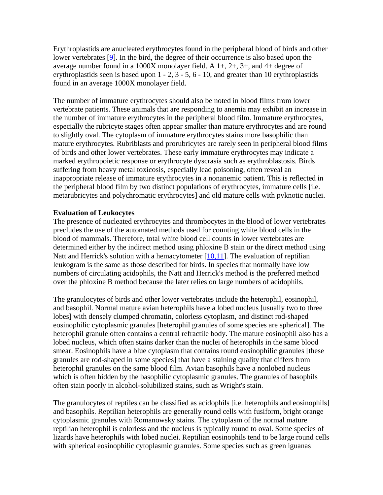Erythroplastids are anucleated erythrocytes found in the peripheral blood of birds and other lower vertebrates [9]. In the bird, the degree of their occurrence is also based upon the average number found in a 1000X monolayer field. A  $1+, 2+, 3+,$  and  $4+$  degree of erythroplastids seen is based upon 1 - 2, 3 - 5, 6 - 10, and greater than 10 erythroplastids found in an average 1000X monolayer field.

The number of immature erythrocytes should also be noted in blood films from lower vertebrate patients. These animals that are responding to anemia may exhibit an increase in the number of immature erythrocytes in the peripheral blood film. Immature erythrocytes, especially the rubricyte stages often appear smaller than mature erythrocytes and are round to slightly oval. The cytoplasm of immature erythrocytes stains more basophilic than mature erythrocytes. Rubriblasts and prorubricytes are rarely seen in peripheral blood films of birds and other lower vertebrates. These early immature erythrocytes may indicate a marked erythropoietic response or erythrocyte dyscrasia such as erythroblastosis. Birds suffering from heavy metal toxicosis, especially lead poisoning, often reveal an inappropriate release of immature erythrocytes in a nonanemic patient. This is reflected in the peripheral blood film by two distinct populations of erythrocytes, immature cells [i.e. metarubricytes and polychromatic erythrocytes] and old mature cells with pyknotic nuclei.

### **Evaluation of Leukocytes**

The presence of nucleated erythrocytes and thrombocytes in the blood of lower vertebrates precludes the use of the automated methods used for counting white blood cells in the blood of mammals. Therefore, total white blood cell counts in lower vertebrates are determined either by the indirect method using phloxine B stain or the direct method using Natt and Herrick's solution with a hemacytometer  $[10,11]$ . The evaluation of reptilian leukogram is the same as those described for birds. In species that normally have low numbers of circulating acidophils, the Natt and Herrick's method is the preferred method over the phloxine B method because the later relies on large numbers of acidophils.

The granulocytes of birds and other lower vertebrates include the heterophil, eosinophil, and basophil. Normal mature avian heterophils have a lobed nucleus [usually two to three lobes] with densely clumped chromatin, colorless cytoplasm, and distinct rod-shaped eosinophilic cytoplasmic granules [heterophil granules of some species are spherical]. The heterophil granule often contains a central refractile body. The mature eosinophil also has a lobed nucleus, which often stains darker than the nuclei of heterophils in the same blood smear. Eosinophils have a blue cytoplasm that contains round eosinophilic granules [these granules are rod-shaped in some species] that have a staining quality that differs from heterophil granules on the same blood film. Avian basophils have a nonlobed nucleus which is often hidden by the basophilic cytoplasmic granules. The granules of basophils often stain poorly in alcohol-solubilized stains, such as Wright's stain.

The granulocytes of reptiles can be classified as acidophils [i.e. heterophils and eosinophils] and basophils. Reptilian heterophils are generally round cells with fusiform, bright orange cytoplasmic granules with Romanowsky stains. The cytoplasm of the normal mature reptilian heterophil is colorless and the nucleus is typically round to oval. Some species of lizards have heterophils with lobed nuclei. Reptilian eosinophils tend to be large round cells with spherical eosinophilic cytoplasmic granules. Some species such as green iguanas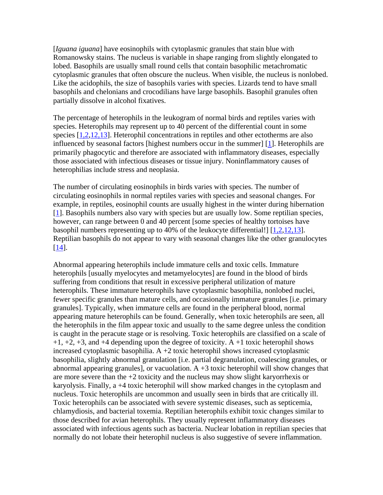[*Iguana iguana*] have eosinophils with cytoplasmic granules that stain blue with Romanowsky stains. The nucleus is variable in shape ranging from slightly elongated to lobed. Basophils are usually small round cells that contain basophilic metachromatic cytoplasmic granules that often obscure the nucleus. When visible, the nucleus is nonlobed. Like the acidophils, the size of basophils varies with species. Lizards tend to have small basophils and chelonians and crocodilians have large basophils. Basophil granules often partially dissolve in alcohol fixatives.

The percentage of heterophils in the leukogram of normal birds and reptiles varies with species. Heterophils may represent up to 40 percent of the differential count in some species [1,2,12,13]. Heterophil concentrations in reptiles and other ectotherms are also influenced by seasonal factors [highest numbers occur in the summer]  $[1]$ . Heterophils are primarily phagocytic and therefore are associated with inflammatory diseases, especially those associated with infectious diseases or tissue injury. Noninflammatory causes of heterophilias include stress and neoplasia.

The number of circulating eosinophils in birds varies with species. The number of circulating eosinophils in normal reptiles varies with species and seasonal changes. For example, in reptiles, eosinophil counts are usually highest in the winter during hibernation [1]. Basophils numbers also vary with species but are usually low. Some reptilian species, however, can range between 0 and 40 percent [some species of healthy tortoises have basophil numbers representing up to 40% of the leukocyte differential!]  $[1,2,12,13]$ . Reptilian basophils do not appear to vary with seasonal changes like the other granulocytes  $[14]$ .

Abnormal appearing heterophils include immature cells and toxic cells. Immature heterophils [usually myelocytes and metamyelocytes] are found in the blood of birds suffering from conditions that result in excessive peripheral utilization of mature heterophils. These immature heterophils have cytoplasmic basophilia, nonlobed nuclei, fewer specific granules than mature cells, and occasionally immature granules [i.e. primary granules]. Typically, when immature cells are found in the peripheral blood, normal appearing mature heterophils can be found. Generally, when toxic heterophils are seen, all the heterophils in the film appear toxic and usually to the same degree unless the condition is caught in the peracute stage or is resolving. Toxic heterophils are classified on a scale of  $+1$ ,  $+2$ ,  $+3$ , and  $+4$  depending upon the degree of toxicity. A  $+1$  toxic heterophil shows increased cytoplasmic basophilia.  $A + 2$  toxic heterophil shows increased cytoplasmic basophilia, slightly abnormal granulation [i.e. partial degranulation, coalescing granules, or abnormal appearing granules], or vacuolation.  $A + 3$  toxic heterophil will show changes that are more severe than the +2 toxicity and the nucleus may show slight karyorrhexis or karyolysis. Finally, a +4 toxic heterophil will show marked changes in the cytoplasm and nucleus. Toxic heterophils are uncommon and usually seen in birds that are critically ill. Toxic heterophils can be associated with severe systemic diseases, such as septicemia, chlamydiosis, and bacterial toxemia. Reptilian heterophils exhibit toxic changes similar to those described for avian heterophils. They usually represent inflammatory diseases associated with infectious agents such as bacteria. Nuclear lobation in reptilian species that normally do not lobate their heterophil nucleus is also suggestive of severe inflammation.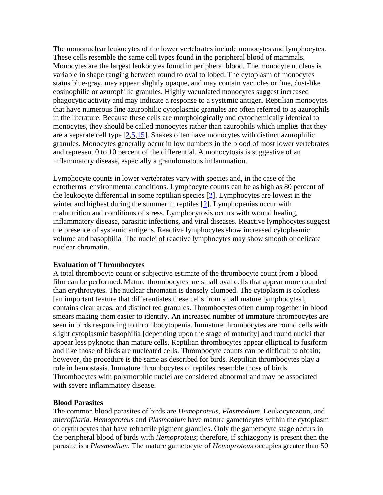The mononuclear leukocytes of the lower vertebrates include monocytes and lymphocytes. These cells resemble the same cell types found in the peripheral blood of mammals. Monocytes are the largest leukocytes found in peripheral blood. The monocyte nucleus is variable in shape ranging between round to oval to lobed. The cytoplasm of monocytes stains blue-gray, may appear slightly opaque, and may contain vacuoles or fine, dust-like eosinophilic or azurophilic granules. Highly vacuolated monocytes suggest increased phagocytic activity and may indicate a response to a systemic antigen. Reptilian monocytes that have numerous fine azurophilic cytoplasmic granules are often referred to as azurophils in the literature. Because these cells are morphologically and cytochemically identical to monocytes, they should be called monocytes rather than azurophils which implies that they are a separate cell type [2,5,15]. Snakes often have monocytes with distinct azurophilic granules. Monocytes generally occur in low numbers in the blood of most lower vertebrates and represent 0 to 10 percent of the differential. A monocytosis is suggestive of an inflammatory disease, especially a granulomatous inflammation.

Lymphocyte counts in lower vertebrates vary with species and, in the case of the ectotherms, environmental conditions. Lymphocyte counts can be as high as 80 percent of the leukocyte differential in some reptilian species [2]. Lymphocytes are lowest in the winter and highest during the summer in reptiles [2]. Lymphopenias occur with malnutrition and conditions of stress. Lymphocytosis occurs with wound healing, inflammatory disease, parasitic infections, and viral diseases. Reactive lymphocytes suggest the presence of systemic antigens. Reactive lymphocytes show increased cytoplasmic volume and basophilia. The nuclei of reactive lymphocytes may show smooth or delicate nuclear chromatin.

#### **Evaluation of Thrombocytes**

A total thrombocyte count or subjective estimate of the thrombocyte count from a blood film can be performed. Mature thrombocytes are small oval cells that appear more rounded than erythrocytes. The nuclear chromatin is densely clumped. The cytoplasm is colorless [an important feature that differentiates these cells from small mature lymphocytes], contains clear areas, and distinct red granules. Thrombocytes often clump together in blood smears making them easier to identify. An increased number of immature thrombocytes are seen in birds responding to thrombocytopenia. Immature thrombocytes are round cells with slight cytoplasmic basophilia [depending upon the stage of maturity] and round nuclei that appear less pyknotic than mature cells. Reptilian thrombocytes appear elliptical to fusiform and like those of birds are nucleated cells. Thrombocyte counts can be difficult to obtain; however, the procedure is the same as described for birds. Reptilian thrombocytes play a role in hemostasis. Immature thrombocytes of reptiles resemble those of birds. Thrombocytes with polymorphic nuclei are considered abnormal and may be associated with severe inflammatory disease.

#### **Blood Parasites**

The common blood parasites of birds are *Hemoproteus*, *Plasmodium*, Leukocytozoon, and *microfilaria*. *Hemoproteus* and *Plasmodium* have mature gametocytes within the cytoplasm of erythrocytes that have refractile pigment granules. Only the gametocyte stage occurs in the peripheral blood of birds with *Hemoproteus*; therefore, if schizogony is present then the parasite is a *Plasmodium*. The mature gametocyte of *Hemoproteus* occupies greater than 50